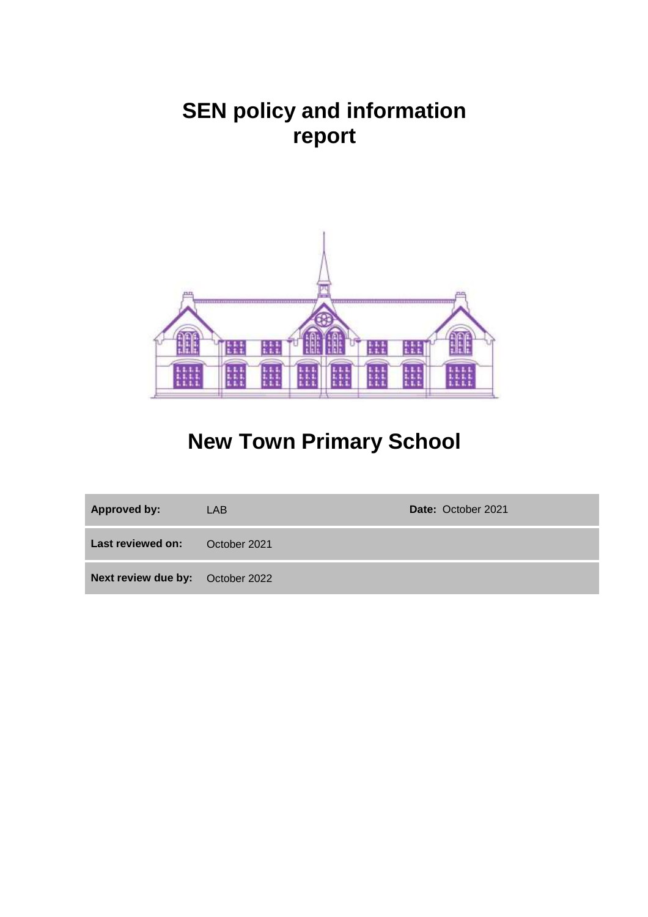# **SEN policy and information report**



# **New Town Primary School**

| <b>Approved by:</b>              | LAB.         | Date: October 2021 |
|----------------------------------|--------------|--------------------|
| Last reviewed on:                | October 2021 |                    |
| Next review due by: October 2022 |              |                    |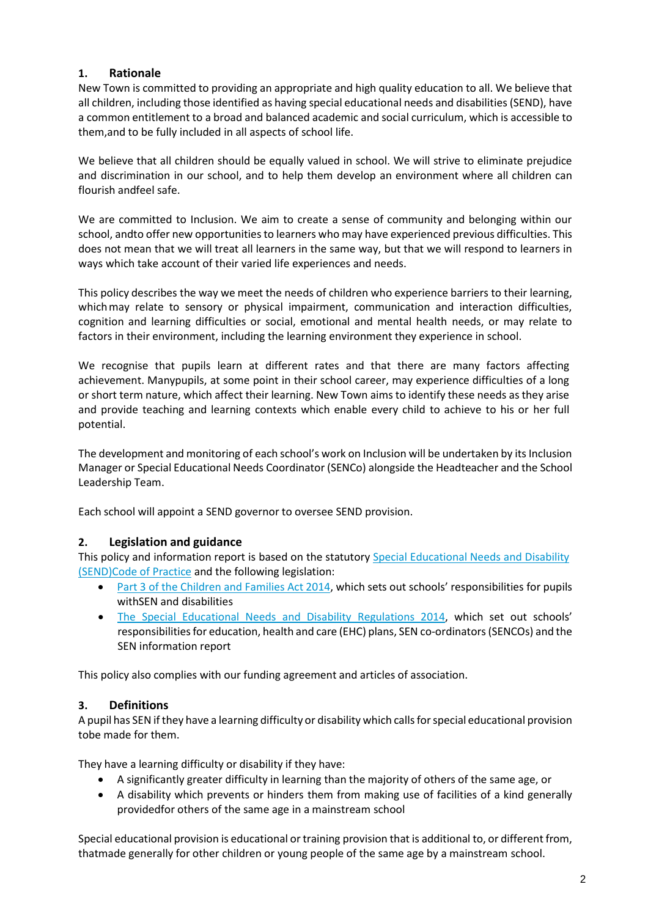## **1. Rationale**

New Town is committed to providing an appropriate and high quality education to all. We believe that all children, including those identified as having special educational needs and disabilities (SEND), have a common entitlement to a broad and balanced academic and social curriculum, which is accessible to them,and to be fully included in all aspects of school life.

We believe that all children should be equally valued in school. We will strive to eliminate prejudice and discrimination in our school, and to help them develop an environment where all children can flourish andfeel safe.

We are committed to Inclusion. We aim to create a sense of community and belonging within our school, andto offer new opportunities to learners who may have experienced previous difficulties. This does not mean that we will treat all learners in the same way, but that we will respond to learners in ways which take account of their varied life experiences and needs.

This policy describes the way we meet the needs of children who experience barriers to their learning, which may relate to sensory or physical impairment, communication and interaction difficulties, cognition and learning difficulties or social, emotional and mental health needs, or may relate to factors in their environment, including the learning environment they experience in school.

We recognise that pupils learn at different rates and that there are many factors affecting achievement. Manypupils, at some point in their school career, may experience difficulties of a long or short term nature, which affect their learning. New Town aims to identify these needs as they arise and provide teaching and learning contexts which enable every child to achieve to his or her full potential.

The development and monitoring of each school's work on Inclusion will be undertaken by its Inclusion Manager or Special Educational Needs Coordinator (SENCo) alongside the Headteacher and the School Leadership Team.

Each school will appoint a SEND governor to oversee SEND provision.

## **2. Legislation and guidance**

This policy and information report is based on the statutory Special [Educational](https://www.gov.uk/government/uploads/system/uploads/attachment_data/file/398815/SEND_Code_of_Practice_January_2015.pdf) Needs and Disability [\(SEND\)Code of](https://www.gov.uk/government/uploads/system/uploads/attachment_data/file/398815/SEND_Code_of_Practice_January_2015.pdf) Practice and the following legislation:

- Part 3 of the [Children](http://www.legislation.gov.uk/ukpga/2014/6/part/3) and Families Act 2014, which sets out schools' responsibilities for pupils withSEN and disabilities
- [The Special Educational Needs and Disability Regulations 2014,](http://www.legislation.gov.uk/uksi/2014/1530/contents/made) which set out schools' responsibilities for education, health and care (EHC) plans, SEN co-ordinators (SENCOs) and the SEN information report

This policy also complies with our funding agreement and articles of association.

## **3. Definitions**

A pupil has SEN if they have a learning difficulty or disability which callsforspecial educational provision tobe made for them.

They have a learning difficulty or disability if they have:

- A significantly greater difficulty in learning than the majority of others of the same age, or
- A disability which prevents or hinders them from making use of facilities of a kind generally providedfor others of the same age in a mainstream school

Special educational provision is educational or training provision that is additional to, or different from, thatmade generally for other children or young people of the same age by a mainstream school.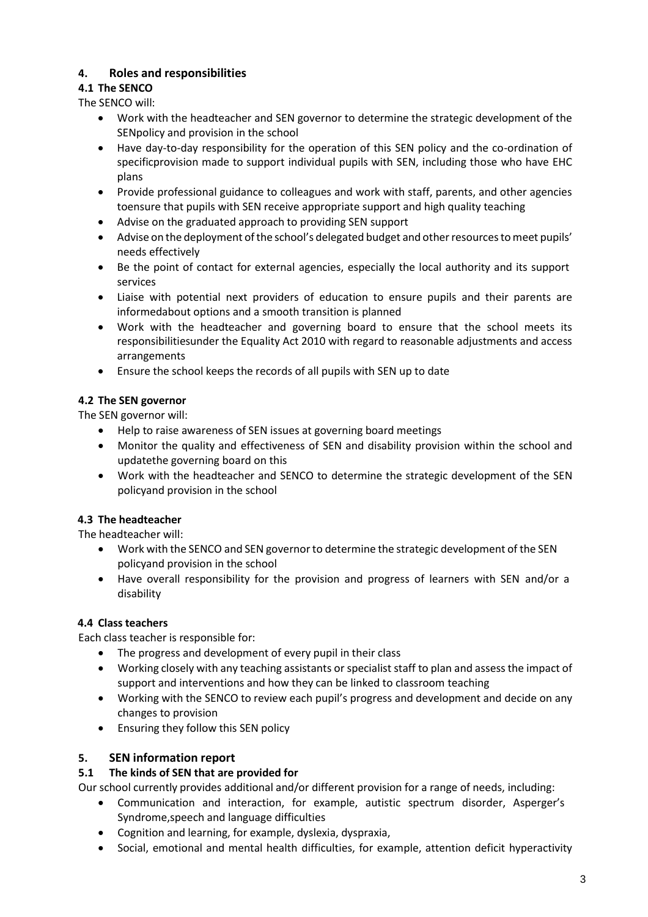# **4. Roles and responsibilities**

# **4.1 The SENCO**

The SENCO will:

- Work with the headteacher and SEN governor to determine the strategic development of the SENpolicy and provision in the school
- Have day-to-day responsibility for the operation of this SEN policy and the co-ordination of specificprovision made to support individual pupils with SEN, including those who have EHC plans
- Provide professional guidance to colleagues and work with staff, parents, and other agencies toensure that pupils with SEN receive appropriate support and high quality teaching
- Advise on the graduated approach to providing SEN support
- Advise on the deployment of the school's delegated budget and other resources to meet pupils' needs effectively
- Be the point of contact for external agencies, especially the local authority and its support services
- Liaise with potential next providers of education to ensure pupils and their parents are informedabout options and a smooth transition is planned
- Work with the headteacher and governing board to ensure that the school meets its responsibilitiesunder the Equality Act 2010 with regard to reasonable adjustments and access arrangements
- Ensure the school keeps the records of all pupils with SEN up to date

## **4.2 The SEN governor**

The SEN governor will:

- Help to raise awareness of SEN issues at governing board meetings
- Monitor the quality and effectiveness of SEN and disability provision within the school and updatethe governing board on this
- Work with the headteacher and SENCO to determine the strategic development of the SEN policyand provision in the school

## **4.3 The headteacher**

The headteacher will:

- Work with the SENCO and SEN governorto determine the strategic development of the SEN policyand provision in the school
- Have overall responsibility for the provision and progress of learners with SEN and/or a disability

## **4.4 Class teachers**

Each class teacher is responsible for:

- The progress and development of every pupil in their class
- Working closely with any teaching assistants or specialist staff to plan and assess the impact of support and interventions and how they can be linked to classroom teaching
- Working with the SENCO to review each pupil's progress and development and decide on any changes to provision
- Ensuring they follow this SEN policy

## **5. SEN information report**

## **5.1 The kinds of SEN that are provided for**

Our school currently provides additional and/or different provision for a range of needs, including:

- Communication and interaction, for example, autistic spectrum disorder, Asperger's Syndrome,speech and language difficulties
- Cognition and learning, for example, dyslexia, dyspraxia,
- Social, emotional and mental health difficulties, for example, attention deficit hyperactivity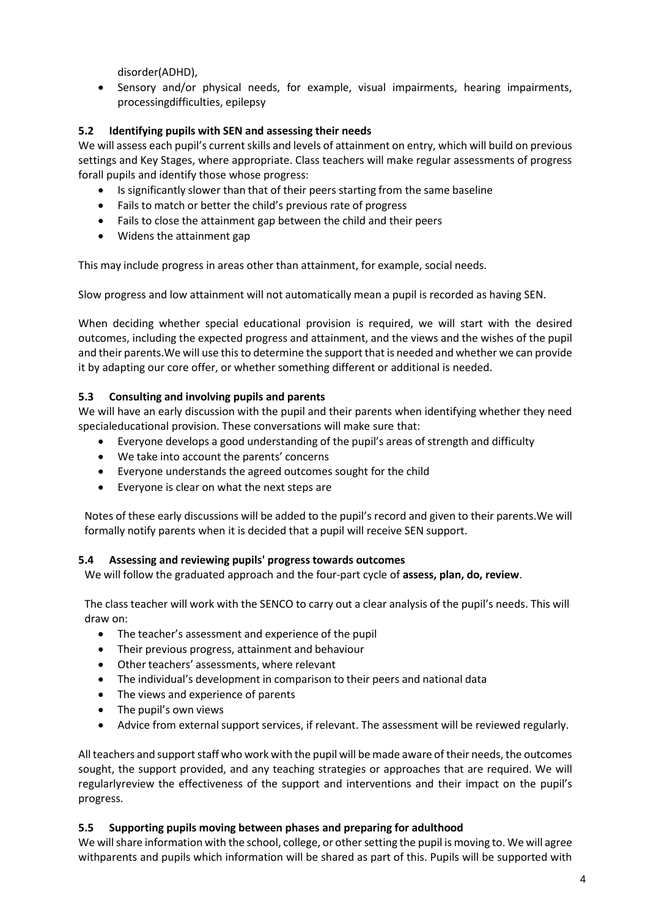disorder(ADHD),

 Sensory and/or physical needs, for example, visual impairments, hearing impairments, processingdifficulties, epilepsy

## **5.2 Identifying pupils with SEN and assessing their needs**

We will assess each pupil's current skills and levels of attainment on entry, which will build on previous settings and Key Stages, where appropriate. Class teachers will make regular assessments of progress forall pupils and identify those whose progress:

- Is significantly slower than that of their peers starting from the same baseline
- Fails to match or better the child's previous rate of progress
- Fails to close the attainment gap between the child and their peers
- Widens the attainment gap

This may include progress in areas other than attainment, for example, social needs.

Slow progress and low attainment will not automatically mean a pupil is recorded as having SEN.

When deciding whether special educational provision is required, we will start with the desired outcomes, including the expected progress and attainment, and the views and the wishes of the pupil and their parents.We will use this to determine the support that is needed and whether we can provide it by adapting our core offer, or whether something different or additional is needed.

## **5.3 Consulting and involving pupils and parents**

We will have an early discussion with the pupil and their parents when identifying whether they need specialeducational provision. These conversations will make sure that:

- Everyone develops a good understanding of the pupil's areas of strength and difficulty
- We take into account the parents' concerns
- Everyone understands the agreed outcomes sought for the child
- Everyone is clear on what the next steps are

Notes of these early discussions will be added to the pupil's record and given to their parents.We will formally notify parents when it is decided that a pupil will receive SEN support.

## **5.4 Assessing and reviewing pupils' progress towards outcomes**

We will follow the graduated approach and the four-part cycle of **assess, plan, do, review**.

The class teacher will work with the SENCO to carry out a clear analysis of the pupil's needs. This will draw on:

- The teacher's assessment and experience of the pupil
- Their previous progress, attainment and behaviour
- Other teachers' assessments, where relevant
- The individual's development in comparison to their peers and national data
- The views and experience of parents
- The pupil's own views
- Advice from external support services, if relevant. The assessment will be reviewed regularly.

All teachers and support staff who work with the pupil will be made aware of their needs, the outcomes sought, the support provided, and any teaching strategies or approaches that are required. We will regularlyreview the effectiveness of the support and interventions and their impact on the pupil's progress.

## **5.5 Supporting pupils moving between phases and preparing for adulthood**

We will share information with the school, college, or other setting the pupil is moving to. We will agree withparents and pupils which information will be shared as part of this. Pupils will be supported with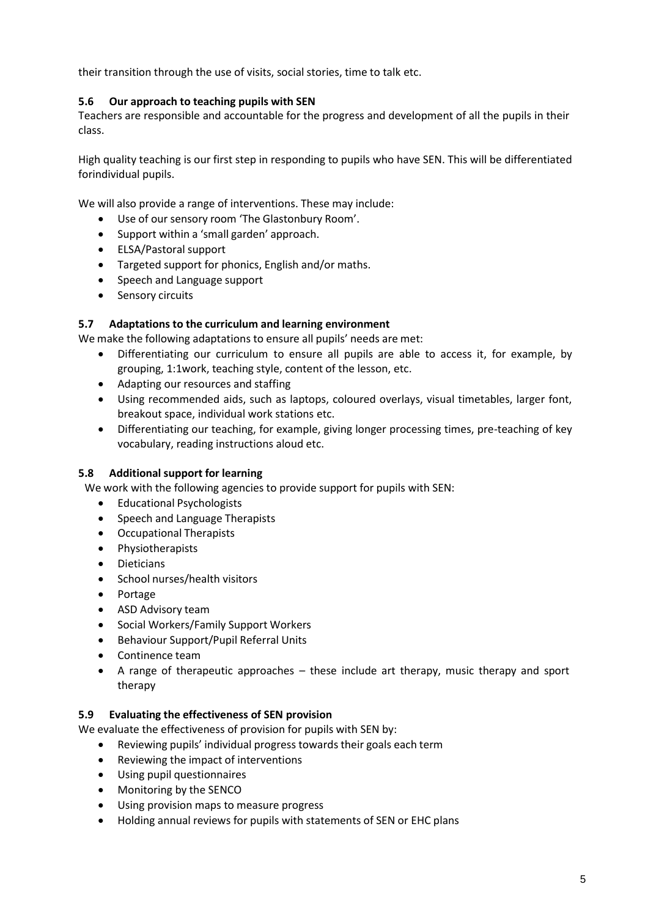their transition through the use of visits, social stories, time to talk etc.

#### **5.6 Our approach to teaching pupils with SEN**

Teachers are responsible and accountable for the progress and development of all the pupils in their class.

High quality teaching is our first step in responding to pupils who have SEN. This will be differentiated forindividual pupils.

We will also provide a range of interventions. These may include:

- Use of our sensory room 'The Glastonbury Room'.
- Support within a 'small garden' approach.
- ELSA/Pastoral support
- Targeted support for phonics, English and/or maths.
- Speech and Language support
- Sensory circuits

#### **5.7 Adaptations to the curriculum and learning environment**

We make the following adaptations to ensure all pupils' needs are met:

- Differentiating our curriculum to ensure all pupils are able to access it, for example, by grouping, 1:1work, teaching style, content of the lesson, etc.
- Adapting our resources and staffing
- Using recommended aids, such as laptops, coloured overlays, visual timetables, larger font, breakout space, individual work stations etc.
- Differentiating our teaching, for example, giving longer processing times, pre-teaching of key vocabulary, reading instructions aloud etc.

#### **5.8 Additional support for learning**

We work with the following agencies to provide support for pupils with SEN:

- Educational Psychologists
- Speech and Language Therapists
- Occupational Therapists
- Physiotherapists
- Dieticians
- School nurses/health visitors
- Portage
- ASD Advisory team
- Social Workers/Family Support Workers
- Behaviour Support/Pupil Referral Units
- Continence team
- A range of therapeutic approaches these include art therapy, music therapy and sport therapy

#### **5.9 Evaluating the effectiveness of SEN provision**

We evaluate the effectiveness of provision for pupils with SEN by:

- Reviewing pupils' individual progress towards their goals each term
- Reviewing the impact of interventions
- Using pupil questionnaires
- Monitoring by the SENCO
- Using provision maps to measure progress
- Holding annual reviews for pupils with statements of SEN or EHC plans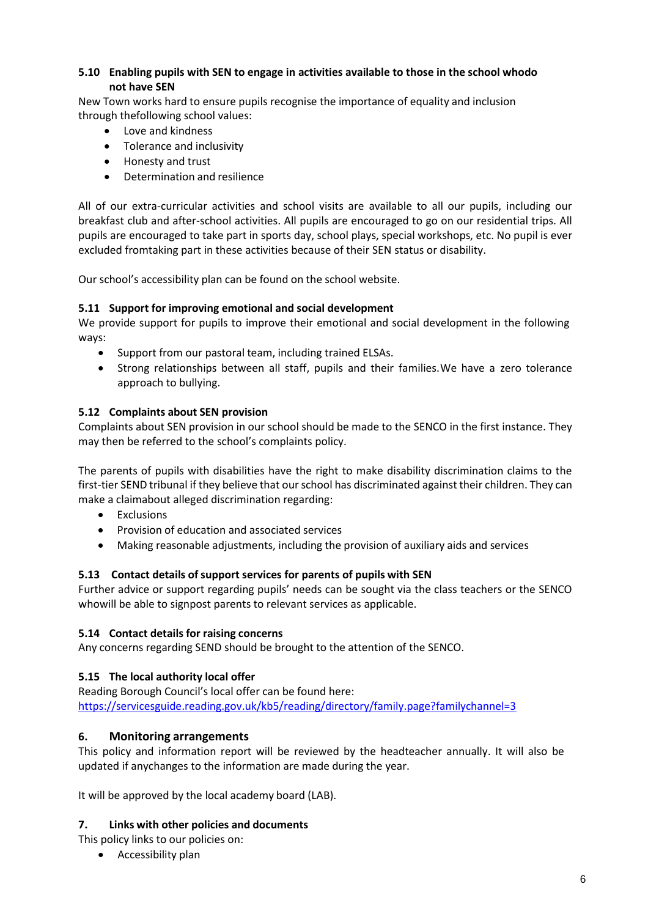## **5.10 Enabling pupils with SEN to engage in activities available to those in the school whodo not have SEN**

New Town works hard to ensure pupils recognise the importance of equality and inclusion through thefollowing school values:

- Love and kindness
- Tolerance and inclusivity
- Honesty and trust
- Determination and resilience

All of our extra-curricular activities and school visits are available to all our pupils, including our breakfast club and after-school activities. All pupils are encouraged to go on our residential trips. All pupils are encouraged to take part in sports day, school plays, special workshops, etc. No pupil is ever excluded fromtaking part in these activities because of their SEN status or disability.

Our school's accessibility plan can be found on the school website.

## **5.11 Support for improving emotional and social development**

We provide support for pupils to improve their emotional and social development in the following ways:

- Support from our pastoral team, including trained ELSAs.
- Strong relationships between all staff, pupils and their families. We have a zero tolerance approach to bullying.

## **5.12 Complaints about SEN provision**

Complaints about SEN provision in our school should be made to the SENCO in the first instance. They may then be referred to the school's complaints policy.

The parents of pupils with disabilities have the right to make disability discrimination claims to the first-tier SEND tribunal if they believe that our school has discriminated against their children. They can make a claimabout alleged discrimination regarding:

- Exclusions
- Provision of education and associated services
- Making reasonable adjustments, including the provision of auxiliary aids and services

## **5.13 Contact details ofsupport services for parents of pupils with SEN**

Further advice or support regarding pupils' needs can be sought via the class teachers or the SENCO whowill be able to signpost parents to relevant services as applicable.

#### **5.14 Contact details for raising concerns**

Any concerns regarding SEND should be brought to the attention of the SENCO.

## **5.15 The local authority local offer**

Reading Borough Council's local offer can be found here: <https://servicesguide.reading.gov.uk/kb5/reading/directory/family.page?familychannel=3>

#### **6. Monitoring arrangements**

This policy and information report will be reviewed by the headteacher annually. It will also be updated if anychanges to the information are made during the year.

It will be approved by the local academy board (LAB).

## **7. Links with other policies and documents**

This policy links to our policies on:

• Accessibility plan